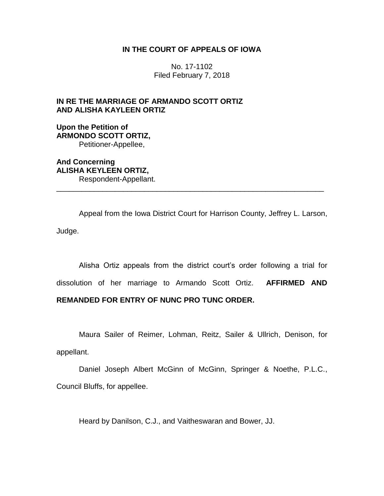## **IN THE COURT OF APPEALS OF IOWA**

No. 17-1102 Filed February 7, 2018

# **IN RE THE MARRIAGE OF ARMANDO SCOTT ORTIZ AND ALISHA KAYLEEN ORTIZ**

**Upon the Petition of ARMONDO SCOTT ORTIZ,** Petitioner-Appellee,

**And Concerning ALISHA KEYLEEN ORTIZ,** Respondent-Appellant.

Appeal from the Iowa District Court for Harrison County, Jeffrey L. Larson, Judge.

\_\_\_\_\_\_\_\_\_\_\_\_\_\_\_\_\_\_\_\_\_\_\_\_\_\_\_\_\_\_\_\_\_\_\_\_\_\_\_\_\_\_\_\_\_\_\_\_\_\_\_\_\_\_\_\_\_\_\_\_\_\_\_\_

Alisha Ortiz appeals from the district court's order following a trial for dissolution of her marriage to Armando Scott Ortiz. **AFFIRMED AND REMANDED FOR ENTRY OF NUNC PRO TUNC ORDER.**

Maura Sailer of Reimer, Lohman, Reitz, Sailer & Ullrich, Denison, for appellant.

Daniel Joseph Albert McGinn of McGinn, Springer & Noethe, P.L.C., Council Bluffs, for appellee.

Heard by Danilson, C.J., and Vaitheswaran and Bower, JJ.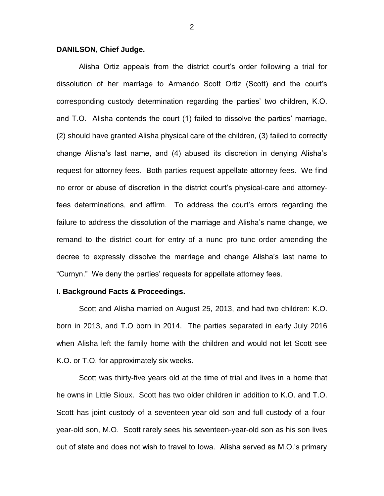#### **DANILSON, Chief Judge.**

Alisha Ortiz appeals from the district court's order following a trial for dissolution of her marriage to Armando Scott Ortiz (Scott) and the court's corresponding custody determination regarding the parties' two children, K.O. and T.O. Alisha contends the court (1) failed to dissolve the parties' marriage, (2) should have granted Alisha physical care of the children, (3) failed to correctly change Alisha's last name, and (4) abused its discretion in denying Alisha's request for attorney fees. Both parties request appellate attorney fees. We find no error or abuse of discretion in the district court's physical-care and attorneyfees determinations, and affirm. To address the court's errors regarding the failure to address the dissolution of the marriage and Alisha's name change, we remand to the district court for entry of a nunc pro tunc order amending the decree to expressly dissolve the marriage and change Alisha's last name to "Curnyn." We deny the parties' requests for appellate attorney fees.

#### **I. Background Facts & Proceedings.**

Scott and Alisha married on August 25, 2013, and had two children: K.O. born in 2013, and T.O born in 2014. The parties separated in early July 2016 when Alisha left the family home with the children and would not let Scott see K.O. or T.O. for approximately six weeks.

Scott was thirty-five years old at the time of trial and lives in a home that he owns in Little Sioux. Scott has two older children in addition to K.O. and T.O. Scott has joint custody of a seventeen-year-old son and full custody of a fouryear-old son, M.O. Scott rarely sees his seventeen-year-old son as his son lives out of state and does not wish to travel to Iowa. Alisha served as M.O.'s primary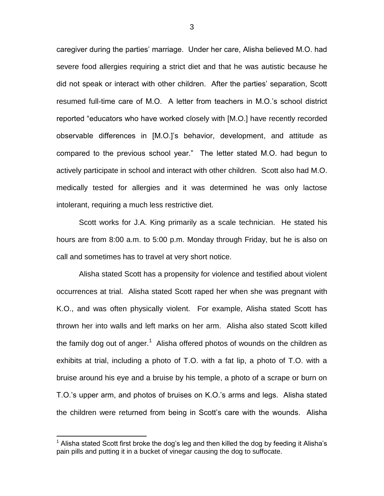caregiver during the parties' marriage. Under her care, Alisha believed M.O. had severe food allergies requiring a strict diet and that he was autistic because he did not speak or interact with other children. After the parties' separation, Scott resumed full-time care of M.O. A letter from teachers in M.O.'s school district reported "educators who have worked closely with [M.O.] have recently recorded observable differences in [M.O.]'s behavior, development, and attitude as compared to the previous school year." The letter stated M.O. had begun to actively participate in school and interact with other children. Scott also had M.O. medically tested for allergies and it was determined he was only lactose intolerant, requiring a much less restrictive diet.

Scott works for J.A. King primarily as a scale technician. He stated his hours are from 8:00 a.m. to 5:00 p.m. Monday through Friday, but he is also on call and sometimes has to travel at very short notice.

Alisha stated Scott has a propensity for violence and testified about violent occurrences at trial. Alisha stated Scott raped her when she was pregnant with K.O., and was often physically violent. For example, Alisha stated Scott has thrown her into walls and left marks on her arm. Alisha also stated Scott killed the family dog out of anger.<sup>1</sup> Alisha offered photos of wounds on the children as exhibits at trial, including a photo of T.O. with a fat lip, a photo of T.O. with a bruise around his eye and a bruise by his temple, a photo of a scrape or burn on T.O.'s upper arm, and photos of bruises on K.O.'s arms and legs. Alisha stated the children were returned from being in Scott's care with the wounds. Alisha

 $\overline{a}$ 

Alisha stated Scott first broke the dog's leg and then killed the dog by feeding it Alisha's pain pills and putting it in a bucket of vinegar causing the dog to suffocate.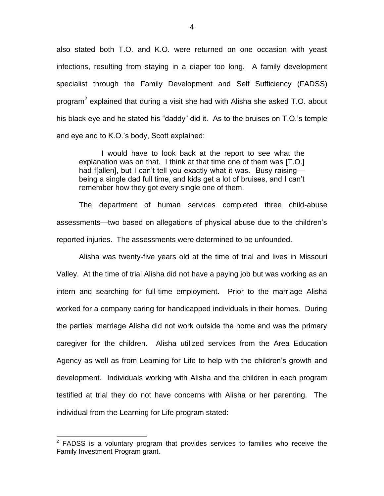also stated both T.O. and K.O. were returned on one occasion with yeast infections, resulting from staying in a diaper too long. A family development specialist through the Family Development and Self Sufficiency (FADSS) program<sup>2</sup> explained that during a visit she had with Alisha she asked T.O. about his black eye and he stated his "daddy" did it. As to the bruises on T.O.'s temple and eye and to K.O.'s body, Scott explained:

I would have to look back at the report to see what the explanation was on that. I think at that time one of them was [T.O.] had f[allen], but I can't tell you exactly what it was. Busy raising being a single dad full time, and kids get a lot of bruises, and I can't remember how they got every single one of them.

The department of human services completed three child-abuse assessments—two based on allegations of physical abuse due to the children's reported injuries. The assessments were determined to be unfounded.

Alisha was twenty-five years old at the time of trial and lives in Missouri Valley. At the time of trial Alisha did not have a paying job but was working as an intern and searching for full-time employment. Prior to the marriage Alisha worked for a company caring for handicapped individuals in their homes. During the parties' marriage Alisha did not work outside the home and was the primary caregiver for the children. Alisha utilized services from the Area Education Agency as well as from Learning for Life to help with the children's growth and development. Individuals working with Alisha and the children in each program testified at trial they do not have concerns with Alisha or her parenting. The individual from the Learning for Life program stated:

 $\overline{a}$ 

 $2$  FADSS is a voluntary program that provides services to families who receive the Family Investment Program grant.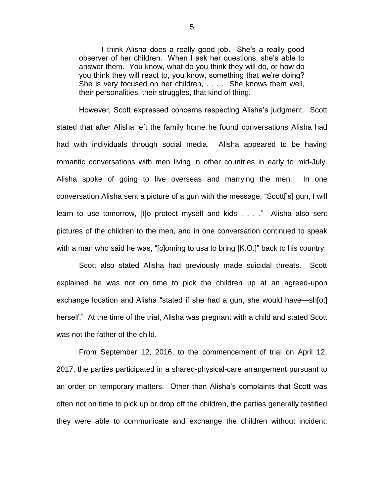I think Alisha does a really good job. She's a really good observer of her children. When I ask her questions, she's able to answer them. You know, what do you think they will do, or how do you think they will react to, you know, something that we're doing? She is very focused on her children, . . . . She knows them well, their personalities, their struggles, that kind of thing.

However, Scott expressed concerns respecting Alisha's judgment. Scott stated that after Alisha left the family home he found conversations Alisha had had with individuals through social media. Alisha appeared to be having romantic conversations with men living in other countries in early to mid-July. Alisha spoke of going to live overseas and marrying the men. In one conversation Alisha sent a picture of a gun with the message, "Scott['s] gun, I will learn to use tomorrow, [t]o protect myself and kids . . . ." Alisha also sent pictures of the children to the men, and in one conversation continued to speak with a man who said he was, "[c]oming to usa to bring [K.O.]" back to his country.

Scott also stated Alisha had previously made suicidal threats. Scott explained he was not on time to pick the children up at an agreed-upon exchange location and Alisha "stated if she had a gun, she would have—sh[ot] herself." At the time of the trial, Alisha was pregnant with a child and stated Scott was not the father of the child.

From September 12, 2016, to the commencement of trial on April 12, 2017, the parties participated in a shared-physical-care arrangement pursuant to an order on temporary matters. Other than Alisha's complaints that Scott was often not on time to pick up or drop off the children, the parties generally testified they were able to communicate and exchange the children without incident.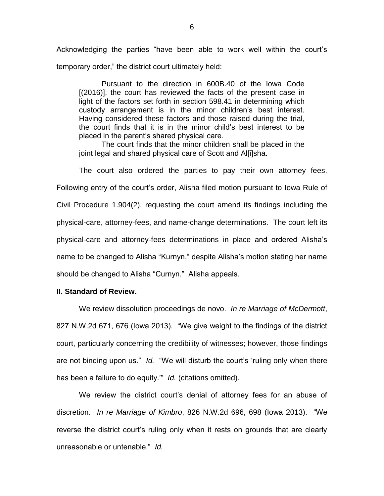Acknowledging the parties "have been able to work well within the court's temporary order," the district court ultimately held:

Pursuant to the direction in 600B.40 of the Iowa Code [(2016)], the court has reviewed the facts of the present case in light of the factors set forth in section 598.41 in determining which custody arrangement is in the minor children's best interest. Having considered these factors and those raised during the trial, the court finds that it is in the minor child's best interest to be placed in the parent's shared physical care.

The court finds that the minor children shall be placed in the joint legal and shared physical care of Scott and Al[i]sha.

The court also ordered the parties to pay their own attorney fees. Following entry of the court's order, Alisha filed motion pursuant to Iowa Rule of Civil Procedure 1.904(2), requesting the court amend its findings including the physical-care, attorney-fees, and name-change determinations. The court left its physical-care and attorney-fees determinations in place and ordered Alisha's name to be changed to Alisha "Kurnyn," despite Alisha's motion stating her name should be changed to Alisha "Curnyn." Alisha appeals.

#### **II. Standard of Review.**

We review dissolution proceedings de novo. *In re Marriage of McDermott*, 827 N.W.2d 671, 676 (Iowa 2013). "We give weight to the findings of the district court, particularly concerning the credibility of witnesses; however, those findings are not binding upon us." *Id.* "We will disturb the court's 'ruling only when there has been a failure to do equity.'" *Id.* (citations omitted).

We review the district court's denial of attorney fees for an abuse of discretion. *In re Marriage of Kimbro*, 826 N.W.2d 696, 698 (Iowa 2013). "We reverse the district court's ruling only when it rests on grounds that are clearly unreasonable or untenable." *Id.*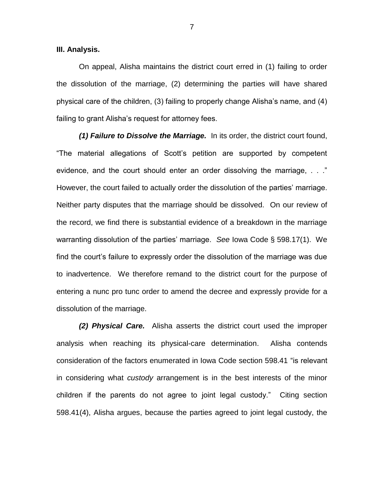**III. Analysis.**

On appeal, Alisha maintains the district court erred in (1) failing to order the dissolution of the marriage, (2) determining the parties will have shared physical care of the children, (3) failing to properly change Alisha's name, and (4) failing to grant Alisha's request for attorney fees.

*(1) Failure to Dissolve the Marriage.* In its order, the district court found, "The material allegations of Scott's petition are supported by competent evidence, and the court should enter an order dissolving the marriage, ..." However, the court failed to actually order the dissolution of the parties' marriage. Neither party disputes that the marriage should be dissolved. On our review of the record, we find there is substantial evidence of a breakdown in the marriage warranting dissolution of the parties' marriage. *See* Iowa Code § 598.17(1). We find the court's failure to expressly order the dissolution of the marriage was due to inadvertence. We therefore remand to the district court for the purpose of entering a nunc pro tunc order to amend the decree and expressly provide for a dissolution of the marriage.

*(2) Physical Care.* Alisha asserts the district court used the improper analysis when reaching its physical-care determination. Alisha contends consideration of the factors enumerated in Iowa Code section 598.41 "is relevant in considering what *custody* arrangement is in the best interests of the minor children if the parents do not agree to joint legal custody." Citing section 598.41(4), Alisha argues, because the parties agreed to joint legal custody, the

7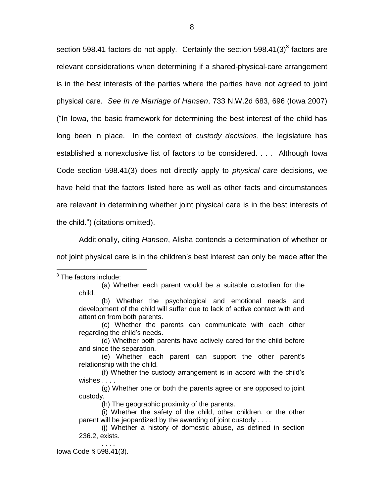section 598.41 factors do not apply. Certainly the section 598.41(3)<sup>3</sup> factors are relevant considerations when determining if a shared-physical-care arrangement is in the best interests of the parties where the parties have not agreed to joint physical care. *See In re Marriage of Hansen*, 733 N.W.2d 683, 696 (Iowa 2007) ("In Iowa, the basic framework for determining the best interest of the child has long been in place. In the context of *custody decisions*, the legislature has established a nonexclusive list of factors to be considered. . . . Although Iowa Code section 598.41(3) does not directly apply to *physical care* decisions, we have held that the factors listed here as well as other facts and circumstances are relevant in determining whether joint physical care is in the best interests of the child.") (citations omitted).

Additionally, citing *Hansen*, Alisha contends a determination of whether or not joint physical care is in the children's best interest can only be made after the

. . . . Iowa Code § 598.41(3).

 $\overline{a}$  $3$  The factors include:

<sup>(</sup>a) Whether each parent would be a suitable custodian for the child.

<sup>(</sup>b) Whether the psychological and emotional needs and development of the child will suffer due to lack of active contact with and attention from both parents.

<sup>(</sup>c) Whether the parents can communicate with each other regarding the child's needs.

<sup>(</sup>d) Whether both parents have actively cared for the child before and since the separation.

<sup>(</sup>e) Whether each parent can support the other parent's relationship with the child.

<sup>(</sup>f) Whether the custody arrangement is in accord with the child's wishes . . . .

<sup>(</sup>g) Whether one or both the parents agree or are opposed to joint custody.

<sup>(</sup>h) The geographic proximity of the parents.

<sup>(</sup>i) Whether the safety of the child, other children, or the other parent will be jeopardized by the awarding of joint custody . . . .

<sup>(</sup>j) Whether a history of domestic abuse, as defined in section 236.2, exists.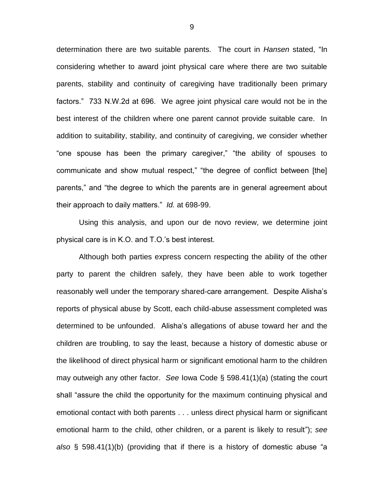determination there are two suitable parents. The court in *Hansen* stated, "In considering whether to award joint physical care where there are two suitable parents, stability and continuity of caregiving have traditionally been primary factors." 733 N.W.2d at 696. We agree joint physical care would not be in the best interest of the children where one parent cannot provide suitable care. In addition to suitability, stability, and continuity of caregiving, we consider whether "one spouse has been the primary caregiver," "the ability of spouses to communicate and show mutual respect," "the degree of conflict between [the] parents," and "the degree to which the parents are in general agreement about their approach to daily matters." *Id.* at 698-99.

Using this analysis, and upon our de novo review, we determine joint physical care is in K.O. and T.O.'s best interest.

Although both parties express concern respecting the ability of the other party to parent the children safely, they have been able to work together reasonably well under the temporary shared-care arrangement. Despite Alisha's reports of physical abuse by Scott, each child-abuse assessment completed was determined to be unfounded. Alisha's allegations of abuse toward her and the children are troubling, to say the least, because a history of domestic abuse or the likelihood of direct physical harm or significant emotional harm to the children may outweigh any other factor. *See* Iowa Code § 598.41(1)(a) (stating the court shall "assure the child the opportunity for the maximum continuing physical and emotional contact with both parents . . . unless direct physical harm or significant emotional harm to the child, other children, or a parent is likely to result"); *see also* § 598.41(1)(b) (providing that if there is a history of domestic abuse "a

9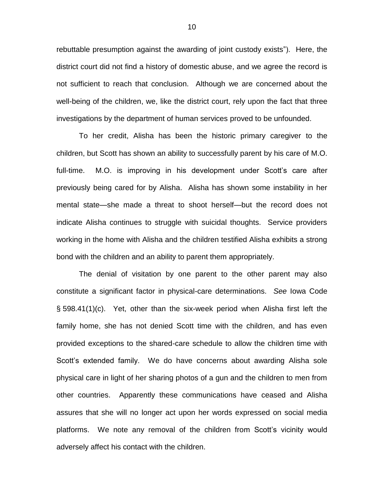rebuttable presumption against the awarding of joint custody exists"). Here, the district court did not find a history of domestic abuse, and we agree the record is not sufficient to reach that conclusion. Although we are concerned about the well-being of the children, we, like the district court, rely upon the fact that three investigations by the department of human services proved to be unfounded.

To her credit, Alisha has been the historic primary caregiver to the children, but Scott has shown an ability to successfully parent by his care of M.O. full-time. M.O. is improving in his development under Scott's care after previously being cared for by Alisha. Alisha has shown some instability in her mental state—she made a threat to shoot herself—but the record does not indicate Alisha continues to struggle with suicidal thoughts. Service providers working in the home with Alisha and the children testified Alisha exhibits a strong bond with the children and an ability to parent them appropriately.

The denial of visitation by one parent to the other parent may also constitute a significant factor in physical-care determinations. *See* Iowa Code § 598.41(1)(c). Yet, other than the six-week period when Alisha first left the family home, she has not denied Scott time with the children, and has even provided exceptions to the shared-care schedule to allow the children time with Scott's extended family. We do have concerns about awarding Alisha sole physical care in light of her sharing photos of a gun and the children to men from other countries. Apparently these communications have ceased and Alisha assures that she will no longer act upon her words expressed on social media platforms. We note any removal of the children from Scott's vicinity would adversely affect his contact with the children.

10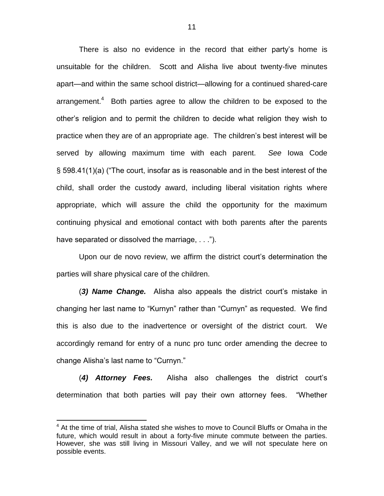There is also no evidence in the record that either party's home is unsuitable for the children. Scott and Alisha live about twenty-five minutes apart—and within the same school district—allowing for a continued shared-care arrangement. $4$  Both parties agree to allow the children to be exposed to the other's religion and to permit the children to decide what religion they wish to practice when they are of an appropriate age. The children's best interest will be served by allowing maximum time with each parent. *See* Iowa Code § 598.41(1)(a) ("The court, insofar as is reasonable and in the best interest of the child, shall order the custody award, including liberal visitation rights where appropriate, which will assure the child the opportunity for the maximum continuing physical and emotional contact with both parents after the parents have separated or dissolved the marriage, . . .").

Upon our de novo review, we affirm the district court's determination the parties will share physical care of the children.

(*3) Name Change.* Alisha also appeals the district court's mistake in changing her last name to "Kurnyn" rather than "Curnyn" as requested. We find this is also due to the inadvertence or oversight of the district court. We accordingly remand for entry of a nunc pro tunc order amending the decree to change Alisha's last name to "Curnyn."

(*4) Attorney Fees.* Alisha also challenges the district court's determination that both parties will pay their own attorney fees. "Whether

 $\overline{a}$ 

 $4$  At the time of trial, Alisha stated she wishes to move to Council Bluffs or Omaha in the future, which would result in about a forty-five minute commute between the parties. However, she was still living in Missouri Valley, and we will not speculate here on possible events.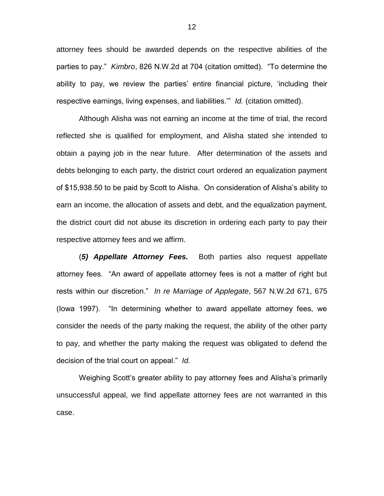attorney fees should be awarded depends on the respective abilities of the parties to pay." *Kimbro*, 826 N.W.2d at 704 (citation omitted). "To determine the ability to pay, we review the parties' entire financial picture, 'including their respective earnings, living expenses, and liabilities.'" *Id.* (citation omitted).

Although Alisha was not earning an income at the time of trial, the record reflected she is qualified for employment, and Alisha stated she intended to obtain a paying job in the near future. After determination of the assets and debts belonging to each party, the district court ordered an equalization payment of \$15,938.50 to be paid by Scott to Alisha. On consideration of Alisha's ability to earn an income, the allocation of assets and debt, and the equalization payment, the district court did not abuse its discretion in ordering each party to pay their respective attorney fees and we affirm.

(*5) Appellate Attorney Fees.* Both parties also request appellate attorney fees. "An award of appellate attorney fees is not a matter of right but rests within our discretion." *In re Marriage of Applegate*, 567 N.W.2d 671, 675 (Iowa 1997). "In determining whether to award appellate attorney fees, we consider the needs of the party making the request, the ability of the other party to pay, and whether the party making the request was obligated to defend the decision of the trial court on appeal." *Id.*

Weighing Scott's greater ability to pay attorney fees and Alisha's primarily unsuccessful appeal, we find appellate attorney fees are not warranted in this case.